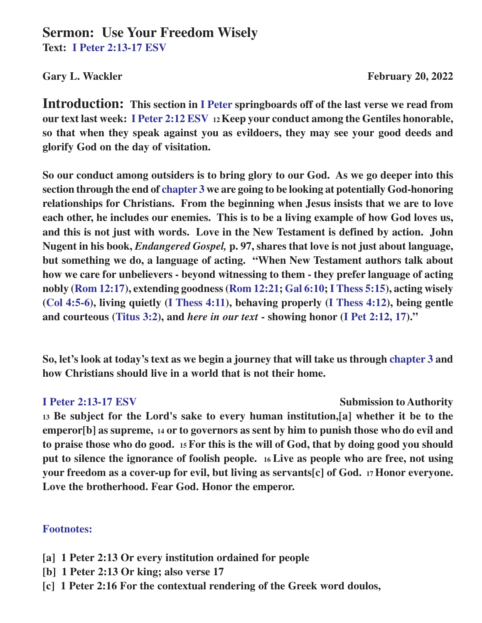### **Sermon: Use Your Freedom Wisely Text: I Peter 2:13-17 ESV**

Gary L. Wackler **February 20, 2022** 

**Introduction: This section in I Peter springboards off of the last verse we read from our text last week: I Peter 2:12 ESV 12 Keep your conduct among the Gentiles honorable, so that when they speak against you as evildoers, they may see your good deeds and glorify God on the day of visitation.**

**So our conduct among outsiders is to bring glory to our God. As we go deeper into this section through the end of chapter 3 we are going to be looking at potentially God-honoring relationships for Christians.****From the beginning when Jesus insists that we are to love each other, he includes our enemies. This is to be a living example of how God loves us, and this is not just with words. Love in the New Testament is defined by action. John Nugent in his book,** *Endangered Gospel,* **p. 97, shares that love is not just about language, but something we do, a language of acting. "When New Testament authors talk about how we care for unbelievers - beyond witnessing to them - they prefer language of acting nobly (Rom 12:17), extending goodness (Rom 12:21; Gal 6:10; I Thess 5:15), acting wisely (Col 4:5-6), living quietly (I Thess 4:11), behaving properly (I Thess 4:12), being gentle and courteous (Titus 3:2), and** *here in our text* **- showing honor (I Pet 2:12, 17)."**

**So, let's look at today's text as we begin a journey that will take us through chapter 3 and how Christians should live in a world that is not their home.**

**I Peter 2:13-17 ESV** Submission to Authority

**<sup>13</sup> Be subject for the Lord's sake to every human institution,[a] whether it be to the emperor[b] as supreme, 14 or to governors as sent by him to punish those who do evil and to praise those who do good. 15 For this is the will of God, that by doing good you should put to silence the ignorance of foolish people. 16 Live as people who are free, not using your freedom as a cover-up for evil, but living as servants[c] of God. 17 Honor everyone. Love the brotherhood. Fear God. Honor the emperor.**

#### **Footnotes:**

- **[a] 1 Peter 2:13 Or every institution ordained for people**
- **[b] 1 Peter 2:13 Or king; also verse 17**
- **[c] 1 Peter 2:16 For the contextual rendering of the Greek word doulos,**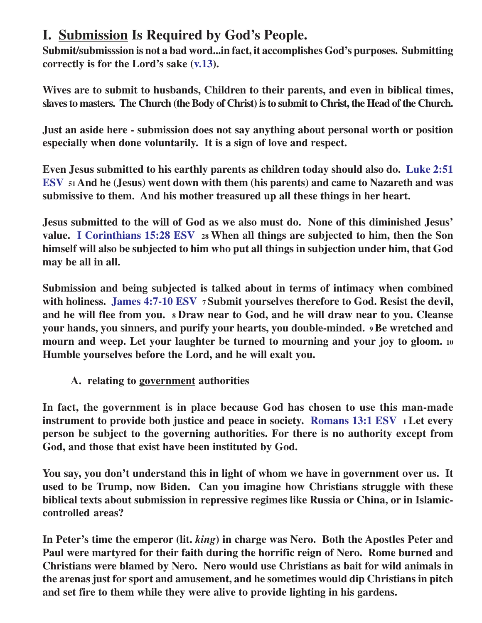## **I. Submission Is Required by God's People.**

**Submit/submisssion is not a bad word...in fact, it accomplishes God's purposes. Submitting correctly is for the Lord's sake (v.13).**

**Wives are to submit to husbands, Children to their parents, and even in biblical times, slaves to masters. The Church (the Body of Christ) is to submit to Christ, the Head of the Church.**

**Just an aside here - submission does not say anything about personal worth or position especially when done voluntarily. It is a sign of love and respect.**

**Even Jesus submitted to his earthly parents as children today should also do. Luke 2:51 ESV 51 And he (Jesus) went down with them (his parents) and came to Nazareth and was submissive to them. And his mother treasured up all these things in her heart.**

**Jesus submitted to the will of God as we also must do. None of this diminished Jesus' value. I Corinthians 15:28 ESV 28 When all things are subjected to him, then the Son himself will also be subjected to him who put all things in subjection under him, that God may be all in all.**

**Submission and being subjected is talked about in terms of intimacy when combined with holiness. James 4:7-10 ESV <sup>7</sup>Submit yourselves therefore to God. Resist the devil, and he will flee from you. 8 Draw near to God, and he will draw near to you. Cleanse your hands, you sinners, and purify your hearts, you double-minded. 9 Be wretched and mourn and weep. Let your laughter be turned to mourning and your joy to gloom. <sup>10</sup> Humble yourselves before the Lord, and he will exalt you.**

**A. relating to government authorities**

**In fact, the government is in place because God has chosen to use this man-made instrument to provide both justice and peace in society. Romans 13:1 ESV 1 Let every person be subject to the governing authorities. For there is no authority except from God, and those that exist have been instituted by God.**

**You say, you don't understand this in light of whom we have in government over us. It used to be Trump, now Biden. Can you imagine how Christians struggle with these biblical texts about submission in repressive regimes like Russia or China, or in Islamiccontrolled areas?**

**In Peter's time the emperor (lit.** *king***) in charge was Nero. Both the Apostles Peter and Paul were martyred for their faith during the horrific reign of Nero. Rome burned and Christians were blamed by Nero. Nero would use Christians as bait for wild animals in the arenas just for sport and amusement, and he sometimes would dip Christians in pitch and set fire to them while they were alive to provide lighting in his gardens.**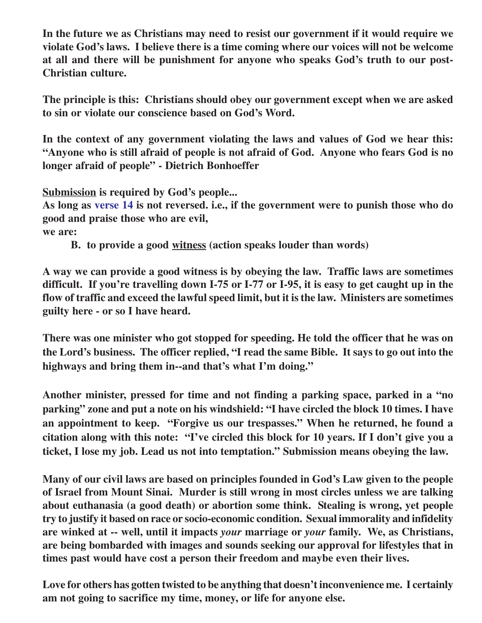**In the future we as Christians may need to resist our government if it would require we violate God's laws. I believe there is a time coming where our voices will not be welcome at all and there will be punishment for anyone who speaks God's truth to our post-Christian culture.**

**The principle is this: Christians should obey our government except when we are asked to sin or violate our conscience based on God's Word.**

**In the context of any government violating the laws and values of God we hear this: "Anyone who is still afraid of people is not afraid of God. Anyone who fears God is no longer afraid of people" - Dietrich Bonhoeffer**

**Submission is required by God's people...**

**As long as verse 14 is not reversed. i.e., if the government were to punish those who do good and praise those who are evil,**

**we are:**

**B. to provide a good witness (action speaks louder than words)**

**A way we can provide a good witness is by obeying the law. Traffic laws are sometimes difficult. If you're travelling down I-75 or I-77 or I-95, it is easy to get caught up in the flow of traffic and exceed the lawful speed limit, but it is the law. Ministers are sometimes guilty here - or so I have heard.**

**There was one minister who got stopped for speeding. He told the officer that he was on the Lord's business. The officer replied, "I read the same Bible. It says to go out into the highways and bring them in--and that's what I'm doing."**

**Another minister, pressed for time and not finding a parking space, parked in a "no parking" zone and put a note on his windshield: "I have circled the block 10 times. I have an appointment to keep. "Forgive us our trespasses." When he returned, he found a citation along with this note: "I've circled this block for 10 years. If I don't give you a ticket, I lose my job. Lead us not into temptation." Submission means obeying the law.**

**Many of our civil laws are based on principles founded in God's Law given to the people of Israel from Mount Sinai. Murder is still wrong in most circles unless we are talking about euthanasia (a good death) or abortion some think. Stealing is wrong, yet people try to justify it based on race or socio-economic condition. Sexual immorality and infidelity are winked at -- well, until it impacts** *your* **marriage or** *your* **family. We, as Christians, are being bombarded with images and sounds seeking our approval for lifestyles that in times past would have cost a person their freedom and maybe even their lives.**

**Love for others has gotten twisted to be anything that doesn't inconvenience me. I certainly am not going to sacrifice my time, money, or life for anyone else.**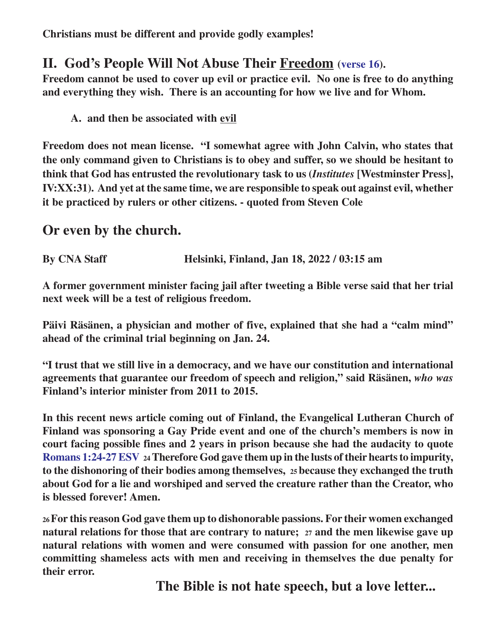**Christians must be different and provide godly examples!**

## **II. God's People Will Not Abuse Their Freedom (verse 16).**

**Freedom cannot be used to cover up evil or practice evil. No one is free to do anything and everything they wish. There is an accounting for how we live and for Whom.**

## **A. and then be associated with evil**

**Freedom does not mean license. "I somewhat agree with John Calvin, who states that the only command given to Christians is to obey and suffer, so we should be hesitant to think that God has entrusted the revolutionary task to us (***Institutes* **[Westminster Press], IV:XX:31). And yet at the same time, we are responsible to speak out against evil, whether it be practiced by rulers or other citizens. - quoted from Steven Cole**

## **Or even by the church.**

**By CNA Staff Helsinki, Finland, Jan 18, 2022 / 03:15 am**

**A former government minister facing jail after tweeting a Bible verse said that her trial next week will be a test of religious freedom.**

**Päivi Räsänen, a physician and mother of five, explained that she had a "calm mind" ahead of the criminal trial beginning on Jan. 24.**

**"I trust that we still live in a democracy, and we have our constitution and international agreements that guarantee our freedom of speech and religion," said Räsänen,** *who was* **Finland's interior minister from 2011 to 2015.**

**In this recent news article coming out of Finland, the Evangelical Lutheran Church of Finland was sponsoring a Gay Pride event and one of the church's members is now in court facing possible fines and 2 years in prison because she had the audacity to quote Romans 1:24-27 ESV 24Therefore God gave them up in the lusts of their hearts to impurity, to the dishonoring of their bodies among themselves, 25 because they exchanged the truth about God for a lie and worshiped and served the creature rather than the Creator, who is blessed forever! Amen.**

**<sup>26</sup>For this reason God gave them up to dishonorable passions. For their women exchanged natural relations for those that are contrary to nature; 27 and the men likewise gave up natural relations with women and were consumed with passion for one another, men committing shameless acts with men and receiving in themselves the due penalty for their error.**

**The Bible is not hate speech, but a love letter...**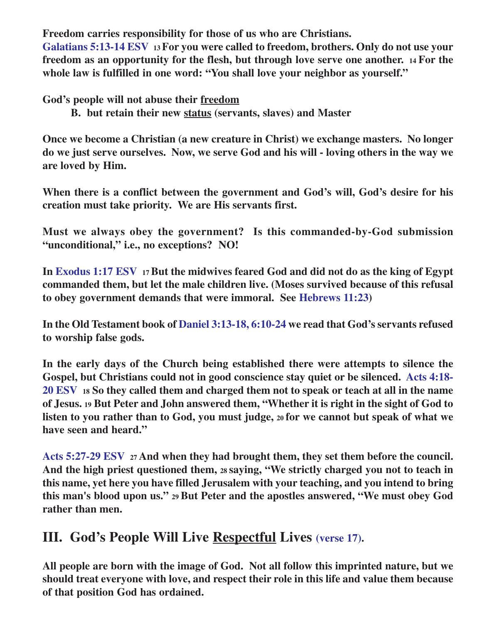**Freedom carries responsibility for those of us who are Christians.**

**Galatians 5:13-14 ESV <sup>13</sup>For you were called to freedom, brothers. Only do not use your freedom as an opportunity for the flesh, but through love serve one another. 14 For the whole law is fulfilled in one word: "You shall love your neighbor as yourself."**

**God's people will not abuse their freedom**

**B. but retain their new status (servants, slaves) and Master**

**Once we become a Christian (a new creature in Christ) we exchange masters. No longer do we just serve ourselves. Now, we serve God and his will - loving others in the way we are loved by Him.**

**When there is a conflict between the government and God's will, God's desire for his creation must take priority. We are His servants first.**

**Must we always obey the government? Is this commanded-by-God submission "unconditional," i.e., no exceptions? NO!**

**In Exodus 1:17 ESV 17 But the midwives feared God and did not do as the king of Egypt commanded them, but let the male children live. (Moses survived because of this refusal to obey government demands that were immoral. See Hebrews 11:23)**

**In the Old Testament book of Daniel 3:13-18, 6:10-24 we read that God's servants refused to worship false gods.**

**In the early days of the Church being established there were attempts to silence the Gospel, but Christians could not in good conscience stay quiet or be silenced. Acts 4:18- 20 ESV 18 So they called them and charged them not to speak or teach at all in the name of Jesus. 19 But Peter and John answered them, "Whether it is right in the sight of God to listen to you rather than to God, you must judge, 20 for we cannot but speak of what we have seen and heard."**

**Acts 5:27-29 ESV <sup>27</sup>And when they had brought them, they set them before the council. And the high priest questioned them, 28 saying, "We strictly charged you not to teach in this name, yet here you have filled Jerusalem with your teaching, and you intend to bring this man's blood upon us." 29 But Peter and the apostles answered, "We must obey God rather than men.**

# **III. God's People Will Live Respectful Lives (verse 17).**

**All people are born with the image of God. Not all follow this imprinted nature, but we should treat everyone with love, and respect their role in this life and value them because of that position God has ordained.**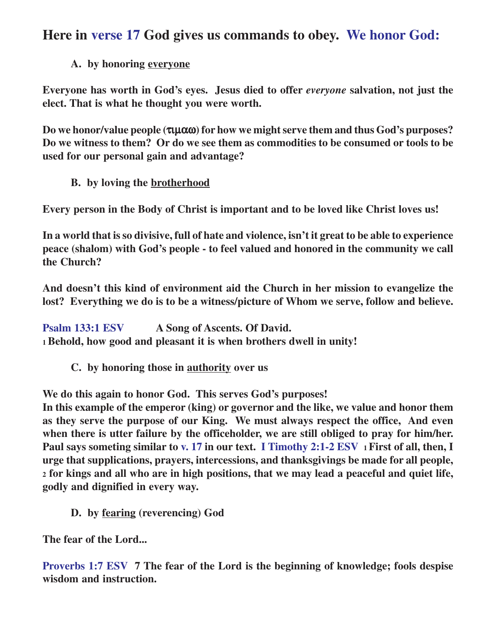## **Here in verse 17 God gives us commands to obey. We honor God:**

### **A. by honoring everyone**

**Everyone has worth in God's eyes. Jesus died to offer** *everyone* **salvation, not just the elect. That is what he thought you were worth.**

**Do we honor/value people (**τιµαω**) for how we might serve them and thus God's purposes? Do we witness to them? Or do we see them as commodities to be consumed or tools to be used for our personal gain and advantage?**

**B. by loving the brotherhood**

**Every person in the Body of Christ is important and to be loved like Christ loves us!**

**In a world that is so divisive, full of hate and violence, isn't it great to be able to experience peace (shalom) with God's people - to feel valued and honored in the community we call the Church?**

**And doesn't this kind of environment aid the Church in her mission to evangelize the lost? Everything we do is to be a witness/picture of Whom we serve, follow and believe.**

**Psalm 133:1 ESV A Song of Ascents. Of David. <sup>1</sup>Behold, how good and pleasant it is when brothers dwell in unity!**

**C. by honoring those in authority over us**

**We do this again to honor God. This serves God's purposes!**

**In this example of the emperor (king) or governor and the like, we value and honor them as they serve the purpose of our King. We must always respect the office, And even when there is utter failure by the officeholder, we are still obliged to pray for him/her. Paul says someting similar to v. 17 in our text. I Timothy 2:1-2 ESV <sup>1</sup>First of all, then, I urge that supplications, prayers, intercessions, and thanksgivings be made for all people, <sup>2</sup> for kings and all who are in high positions, that we may lead a peaceful and quiet life, godly and dignified in every way.**

**D. by fearing (reverencing) God**

**The fear of the Lord...**

**Proverbs 1:7 ESV 7 The fear of the Lord is the beginning of knowledge; fools despise wisdom and instruction.**